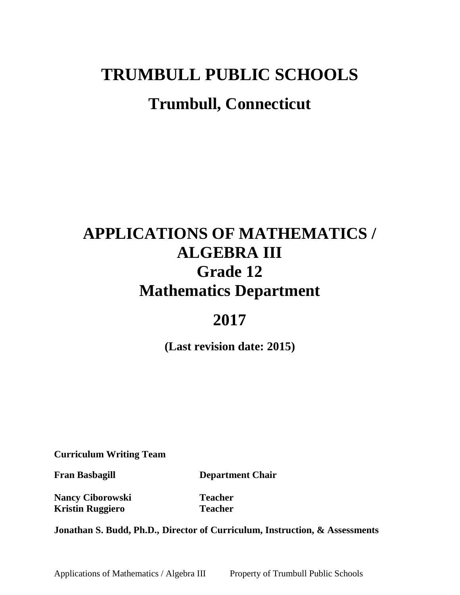# **TRUMBULL PUBLIC SCHOOLS Trumbull, Connecticut**

# **APPLICATIONS OF MATHEMATICS / ALGEBRA III Grade 12 Mathematics Department**

# **2017**

**(Last revision date: 2015)**

**Curriculum Writing Team**

**Fran Basbagill Department Chair**

**Nancy Ciborowski Teacher Kristin Ruggiero Teacher**

**Jonathan S. Budd, Ph.D., Director of Curriculum, Instruction, & Assessments**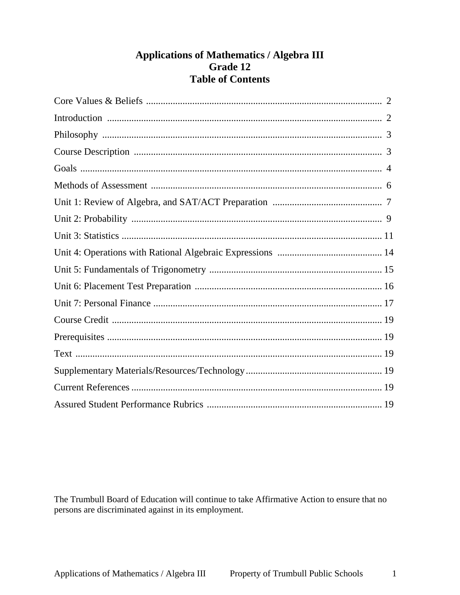## **Applications of Mathematics / Algebra III** Grade 12 **Table of Contents**

The Trumbull Board of Education will continue to take Affirmative Action to ensure that no persons are discriminated against in its employment.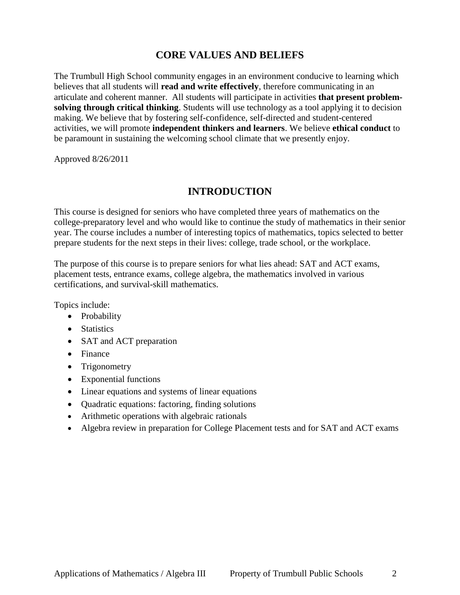# **CORE VALUES AND BELIEFS**

The Trumbull High School community engages in an environment conducive to learning which believes that all students will **read and write effectively**, therefore communicating in an articulate and coherent manner. All students will participate in activities **that present problemsolving through critical thinking**. Students will use technology as a tool applying it to decision making. We believe that by fostering self-confidence, self-directed and student-centered activities, we will promote **independent thinkers and learners**. We believe **ethical conduct** to be paramount in sustaining the welcoming school climate that we presently enjoy.

Approved 8/26/2011

#### **INTRODUCTION**

This course is designed for seniors who have completed three years of mathematics on the college-preparatory level and who would like to continue the study of mathematics in their senior year. The course includes a number of interesting topics of mathematics, topics selected to better prepare students for the next steps in their lives: college, trade school, or the workplace.

The purpose of this course is to prepare seniors for what lies ahead: SAT and ACT exams, placement tests, entrance exams, college algebra, the mathematics involved in various certifications, and survival-skill mathematics.

Topics include:

- Probability
- Statistics
- SAT and ACT preparation
- Finance
- Trigonometry
- Exponential functions
- Linear equations and systems of linear equations
- Quadratic equations: factoring, finding solutions
- Arithmetic operations with algebraic rationals
- Algebra review in preparation for College Placement tests and for SAT and ACT exams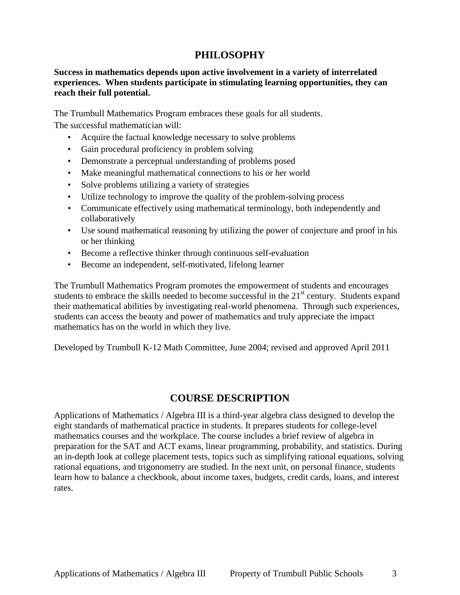### **PHILOSOPHY**

**Success in mathematics depends upon active involvement in a variety of interrelated experiences. When students participate in stimulating learning opportunities, they can reach their full potential.**

The Trumbull Mathematics Program embraces these goals for all students. The successful mathematician will:

- Acquire the factual knowledge necessary to solve problems
- Gain procedural proficiency in problem solving
- Demonstrate a perceptual understanding of problems posed
- Make meaningful mathematical connections to his or her world
- Solve problems utilizing a variety of strategies
- Utilize technology to improve the quality of the problem-solving process
- Communicate effectively using mathematical terminology, both independently and collaboratively
- Use sound mathematical reasoning by utilizing the power of conjecture and proof in his or her thinking
- Become a reflective thinker through continuous self-evaluation
- Become an independent, self-motivated, lifelong learner

The Trumbull Mathematics Program promotes the empowerment of students and encourages students to embrace the skills needed to become successful in the 21<sup>st</sup> century. Students expand their mathematical abilities by investigating real-world phenomena. Through such experiences, students can access the beauty and power of mathematics and truly appreciate the impact mathematics has on the world in which they live.

Developed by Trumbull K-12 Math Committee, June 2004; revised and approved April 2011

### **COURSE DESCRIPTION**

Applications of Mathematics / Algebra III is a third-year algebra class designed to develop the eight standards of mathematical practice in students. It prepares students for college-level mathematics courses and the workplace. The course includes a brief review of algebra in preparation for the SAT and ACT exams, linear programming, probability, and statistics. During an in-depth look at college placement tests, topics such as simplifying rational equations, solving rational equations, and trigonometry are studied. In the next unit, on personal finance, students learn how to balance a checkbook, about income taxes, budgets, credit cards, loans, and interest rates.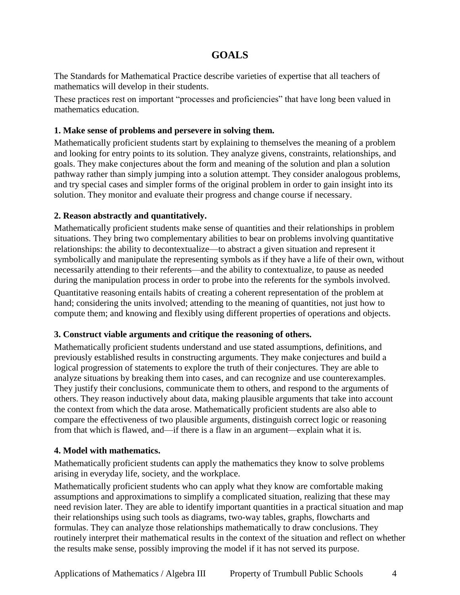# **GOALS**

The Standards for Mathematical Practice describe varieties of expertise that all teachers of mathematics will develop in their students.

These practices rest on important "processes and proficiencies" that have long been valued in mathematics education.

#### **1. Make sense of problems and persevere in solving them.**

Mathematically proficient students start by explaining to themselves the meaning of a problem and looking for entry points to its solution. They analyze givens, constraints, relationships, and goals. They make conjectures about the form and meaning of the solution and plan a solution pathway rather than simply jumping into a solution attempt. They consider analogous problems, and try special cases and simpler forms of the original problem in order to gain insight into its solution. They monitor and evaluate their progress and change course if necessary.

#### **2. Reason abstractly and quantitatively.**

Mathematically proficient students make sense of quantities and their relationships in problem situations. They bring two complementary abilities to bear on problems involving quantitative relationships: the ability to decontextualize—to abstract a given situation and represent it symbolically and manipulate the representing symbols as if they have a life of their own, without necessarily attending to their referents—and the ability to contextualize, to pause as needed during the manipulation process in order to probe into the referents for the symbols involved.

Quantitative reasoning entails habits of creating a coherent representation of the problem at hand; considering the units involved; attending to the meaning of quantities, not just how to compute them; and knowing and flexibly using different properties of operations and objects.

#### **3. Construct viable arguments and critique the reasoning of others.**

Mathematically proficient students understand and use stated assumptions, definitions, and previously established results in constructing arguments. They make conjectures and build a logical progression of statements to explore the truth of their conjectures. They are able to analyze situations by breaking them into cases, and can recognize and use counterexamples. They justify their conclusions, communicate them to others, and respond to the arguments of others. They reason inductively about data, making plausible arguments that take into account the context from which the data arose. Mathematically proficient students are also able to compare the effectiveness of two plausible arguments, distinguish correct logic or reasoning from that which is flawed, and—if there is a flaw in an argument—explain what it is.

#### **4. Model with mathematics.**

Mathematically proficient students can apply the mathematics they know to solve problems arising in everyday life, society, and the workplace.

Mathematically proficient students who can apply what they know are comfortable making assumptions and approximations to simplify a complicated situation, realizing that these may need revision later. They are able to identify important quantities in a practical situation and map their relationships using such tools as diagrams, two-way tables, graphs, flowcharts and formulas. They can analyze those relationships mathematically to draw conclusions. They routinely interpret their mathematical results in the context of the situation and reflect on whether the results make sense, possibly improving the model if it has not served its purpose.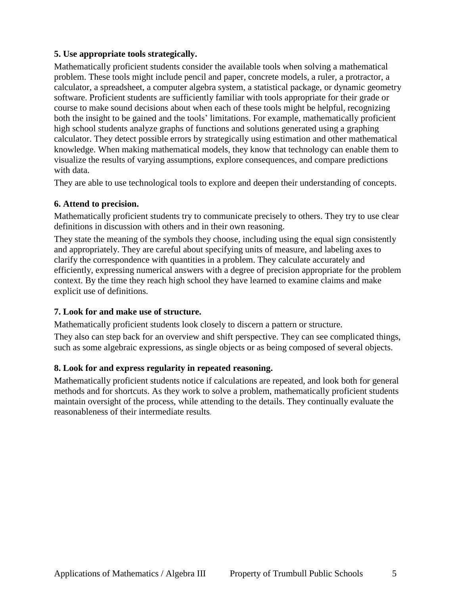#### **5. Use appropriate tools strategically.**

Mathematically proficient students consider the available tools when solving a mathematical problem. These tools might include pencil and paper, concrete models, a ruler, a protractor, a calculator, a spreadsheet, a computer algebra system, a statistical package, or dynamic geometry software. Proficient students are sufficiently familiar with tools appropriate for their grade or course to make sound decisions about when each of these tools might be helpful, recognizing both the insight to be gained and the tools' limitations. For example, mathematically proficient high school students analyze graphs of functions and solutions generated using a graphing calculator. They detect possible errors by strategically using estimation and other mathematical knowledge. When making mathematical models, they know that technology can enable them to visualize the results of varying assumptions, explore consequences, and compare predictions with data.

They are able to use technological tools to explore and deepen their understanding of concepts.

#### **6. Attend to precision.**

Mathematically proficient students try to communicate precisely to others. They try to use clear definitions in discussion with others and in their own reasoning.

They state the meaning of the symbols they choose, including using the equal sign consistently and appropriately. They are careful about specifying units of measure, and labeling axes to clarify the correspondence with quantities in a problem. They calculate accurately and efficiently, expressing numerical answers with a degree of precision appropriate for the problem context. By the time they reach high school they have learned to examine claims and make explicit use of definitions.

#### **7. Look for and make use of structure.**

Mathematically proficient students look closely to discern a pattern or structure.

They also can step back for an overview and shift perspective. They can see complicated things, such as some algebraic expressions, as single objects or as being composed of several objects.

#### **8. Look for and express regularity in repeated reasoning.**

Mathematically proficient students notice if calculations are repeated, and look both for general methods and for shortcuts. As they work to solve a problem, mathematically proficient students maintain oversight of the process, while attending to the details. They continually evaluate the reasonableness of their intermediate results.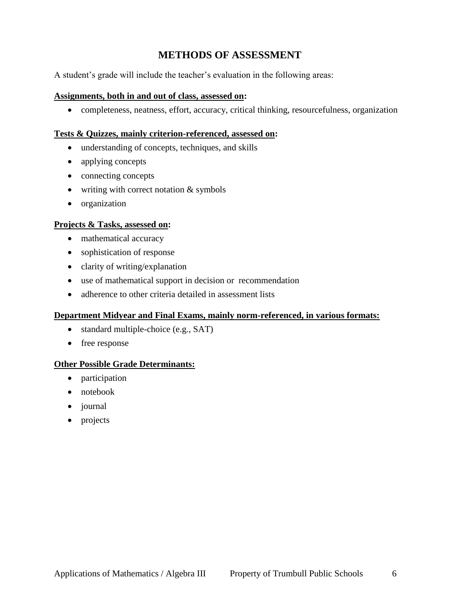# **METHODS OF ASSESSMENT**

A student's grade will include the teacher's evaluation in the following areas:

#### **Assignments, both in and out of class, assessed on:**

completeness, neatness, effort, accuracy, critical thinking, resourcefulness, organization

#### **Tests & Quizzes, mainly criterion-referenced, assessed on:**

- understanding of concepts, techniques, and skills
- applying concepts
- connecting concepts
- writing with correct notation & symbols
- organization

#### **Projects & Tasks, assessed on:**

- mathematical accuracy
- sophistication of response
- clarity of writing/explanation
- use of mathematical support in decision or recommendation
- adherence to other criteria detailed in assessment lists

#### **Department Midyear and Final Exams, mainly norm-referenced, in various formats:**

- standard multiple-choice (e.g., SAT)
- free response

#### **Other Possible Grade Determinants:**

- participation
- notebook
- journal
- projects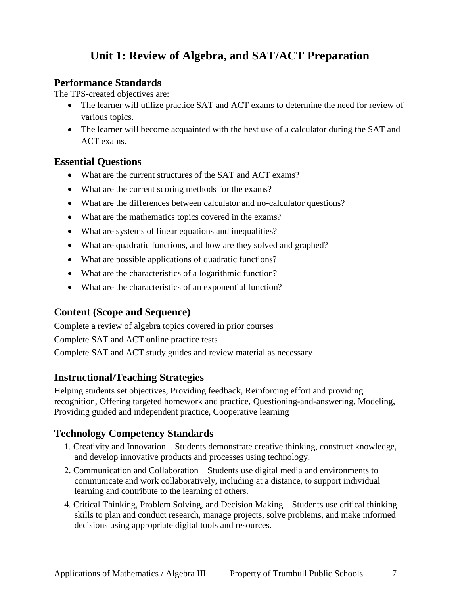# **Unit 1: Review of Algebra, and SAT/ACT Preparation**

#### **Performance Standards**

The TPS-created objectives are:

- The learner will utilize practice SAT and ACT exams to determine the need for review of various topics.
- The learner will become acquainted with the best use of a calculator during the SAT and ACT exams.

### **Essential Questions**

- What are the current structures of the SAT and ACT exams?
- What are the current scoring methods for the exams?
- What are the differences between calculator and no-calculator questions?
- What are the mathematics topics covered in the exams?
- What are systems of linear equations and inequalities?
- What are quadratic functions, and how are they solved and graphed?
- What are possible applications of quadratic functions?
- What are the characteristics of a logarithmic function?
- What are the characteristics of an exponential function?

# **Content (Scope and Sequence)**

Complete a review of algebra topics covered in prior courses

Complete SAT and ACT online practice tests

Complete SAT and ACT study guides and review material as necessary

# **Instructional/Teaching Strategies**

Helping students set objectives, Providing feedback, Reinforcing effort and providing recognition, Offering targeted homework and practice, Questioning-and-answering, Modeling, Providing guided and independent practice, Cooperative learning

# **Technology Competency Standards**

- 1. Creativity and Innovation Students demonstrate creative thinking, construct knowledge, and develop innovative products and processes using technology.
- 2. Communication and Collaboration Students use digital media and environments to communicate and work collaboratively, including at a distance, to support individual learning and contribute to the learning of others.
- 4. Critical Thinking, Problem Solving, and Decision Making Students use critical thinking skills to plan and conduct research, manage projects, solve problems, and make informed decisions using appropriate digital tools and resources.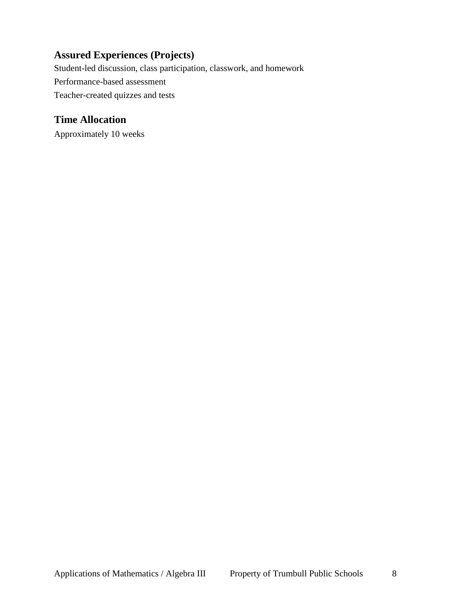# **Assured Experiences (Projects)**

Student-led discussion, class participation, classwork, and homework Performance-based assessment Teacher-created quizzes and tests

# **Time Allocation**

Approximately 10 weeks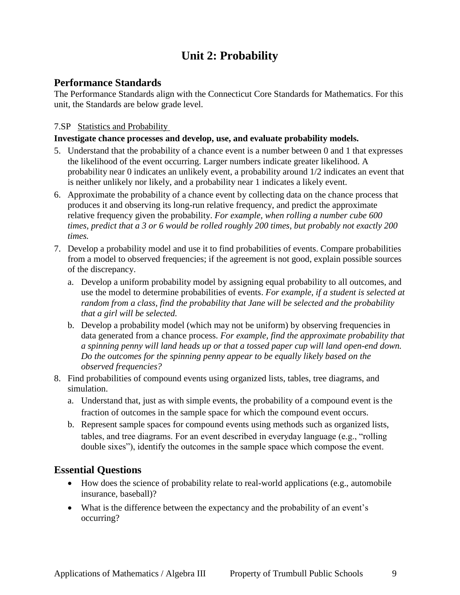# **Unit 2: Probability**

#### **Performance Standards**

The Performance Standards align with the Connecticut Core Standards for Mathematics. For this unit, the Standards are below grade level.

#### 7.SP Statistics and Probability

#### **Investigate chance processes and develop, use, and evaluate probability models.**

- 5. Understand that the probability of a chance event is a number between 0 and 1 that expresses the likelihood of the event occurring. Larger numbers indicate greater likelihood. A probability near 0 indicates an unlikely event, a probability around 1/2 indicates an event that is neither unlikely nor likely, and a probability near 1 indicates a likely event.
- 6. Approximate the probability of a chance event by collecting data on the chance process that produces it and observing its long-run relative frequency, and predict the approximate relative frequency given the probability. *For example, when rolling a number cube 600 times, predict that a 3 or 6 would be rolled roughly 200 times, but probably not exactly 200 times.*
- 7. Develop a probability model and use it to find probabilities of events. Compare probabilities from a model to observed frequencies; if the agreement is not good, explain possible sources of the discrepancy.
	- a. Develop a uniform probability model by assigning equal probability to all outcomes, and use the model to determine probabilities of events. *For example, if a student is selected at random from a class, find the probability that Jane will be selected and the probability that a girl will be selected.*
	- b. Develop a probability model (which may not be uniform) by observing frequencies in data generated from a chance process. *For example, find the approximate probability that a spinning penny will land heads up or that a tossed paper cup will land open-end down. Do the outcomes for the spinning penny appear to be equally likely based on the observed frequencies?*
- 8. Find probabilities of compound events using organized lists, tables, tree diagrams, and simulation.
	- a. Understand that, just as with simple events, the probability of a compound event is the fraction of outcomes in the sample space for which the compound event occurs.
	- b. Represent sample spaces for compound events using methods such as organized lists, tables, and tree diagrams. For an event described in everyday language (e.g., "rolling double sixes"), identify the outcomes in the sample space which compose the event.

#### **Essential Questions**

- How does the science of probability relate to real-world applications (e.g., automobile insurance, baseball)?
- What is the difference between the expectancy and the probability of an event's occurring?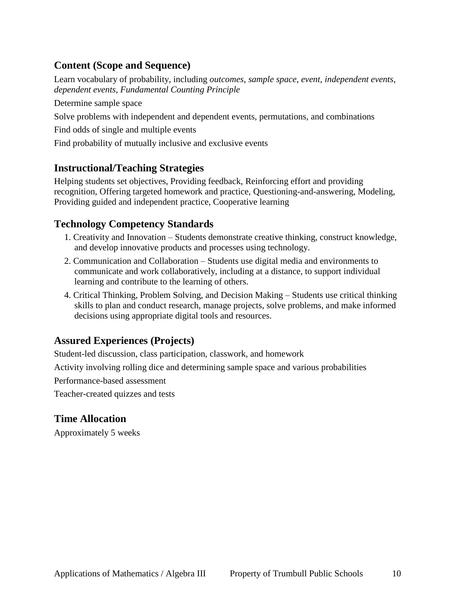# **Content (Scope and Sequence)**

Learn vocabulary of probability, including *outcomes*, *sample space*, *event*, *independent events*, *dependent events*, *Fundamental Counting Principle*

Determine sample space

Solve problems with independent and dependent events, permutations, and combinations

Find odds of single and multiple events

Find probability of mutually inclusive and exclusive events

#### **Instructional/Teaching Strategies**

Helping students set objectives, Providing feedback, Reinforcing effort and providing recognition, Offering targeted homework and practice, Questioning-and-answering, Modeling, Providing guided and independent practice, Cooperative learning

### **Technology Competency Standards**

- 1. Creativity and Innovation Students demonstrate creative thinking, construct knowledge, and develop innovative products and processes using technology.
- 2. Communication and Collaboration Students use digital media and environments to communicate and work collaboratively, including at a distance, to support individual learning and contribute to the learning of others.
- 4. Critical Thinking, Problem Solving, and Decision Making Students use critical thinking skills to plan and conduct research, manage projects, solve problems, and make informed decisions using appropriate digital tools and resources.

# **Assured Experiences (Projects)**

Student-led discussion, class participation, classwork, and homework

Activity involving rolling dice and determining sample space and various probabilities

Performance-based assessment

Teacher-created quizzes and tests

# **Time Allocation**

Approximately 5 weeks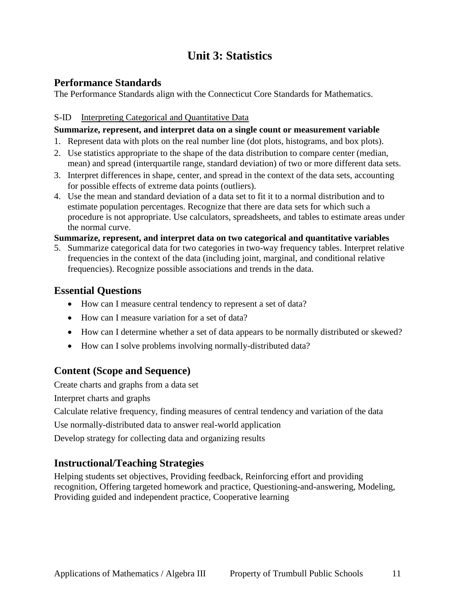# **Unit 3: Statistics**

## **Performance Standards**

The Performance Standards align with the Connecticut Core Standards for Mathematics.

#### S-ID Interpreting Categorical and Quantitative Data

#### **Summarize, represent, and interpret data on a single count or measurement variable**

- 1. Represent data with plots on the real number line (dot plots, histograms, and box plots).
- 2. Use statistics appropriate to the shape of the data distribution to compare center (median, mean) and spread (interquartile range, standard deviation) of two or more different data sets.
- 3. Interpret differences in shape, center, and spread in the context of the data sets, accounting for possible effects of extreme data points (outliers).
- 4. Use the mean and standard deviation of a data set to fit it to a normal distribution and to estimate population percentages. Recognize that there are data sets for which such a procedure is not appropriate. Use calculators, spreadsheets, and tables to estimate areas under the normal curve.

#### **Summarize, represent, and interpret data on two categorical and quantitative variables**

5. Summarize categorical data for two categories in two-way frequency tables. Interpret relative frequencies in the context of the data (including joint, marginal, and conditional relative frequencies). Recognize possible associations and trends in the data.

# **Essential Questions**

- How can I measure central tendency to represent a set of data?
- How can I measure variation for a set of data?
- How can I determine whether a set of data appears to be normally distributed or skewed?
- How can I solve problems involving normally-distributed data?

# **Content (Scope and Sequence)**

Create charts and graphs from a data set

Interpret charts and graphs

Calculate relative frequency, finding measures of central tendency and variation of the data

Use normally-distributed data to answer real-world application

Develop strategy for collecting data and organizing results

# **Instructional/Teaching Strategies**

Helping students set objectives, Providing feedback, Reinforcing effort and providing recognition, Offering targeted homework and practice, Questioning-and-answering, Modeling, Providing guided and independent practice, Cooperative learning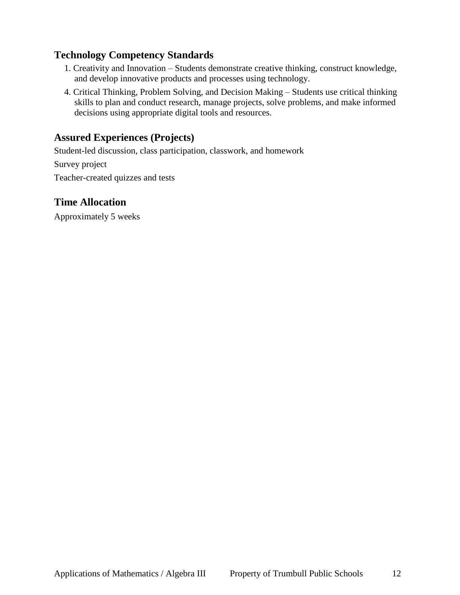# **Technology Competency Standards**

- 1. Creativity and Innovation Students demonstrate creative thinking, construct knowledge, and develop innovative products and processes using technology.
- 4. Critical Thinking, Problem Solving, and Decision Making Students use critical thinking skills to plan and conduct research, manage projects, solve problems, and make informed decisions using appropriate digital tools and resources.

## **Assured Experiences (Projects)**

Student-led discussion, class participation, classwork, and homework

Survey project

Teacher-created quizzes and tests

### **Time Allocation**

Approximately 5 weeks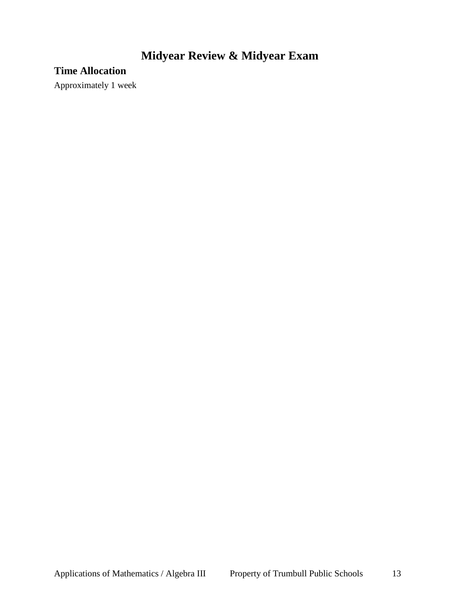# **Midyear Review & Midyear Exam**

# **Time Allocation**

Approximately 1 week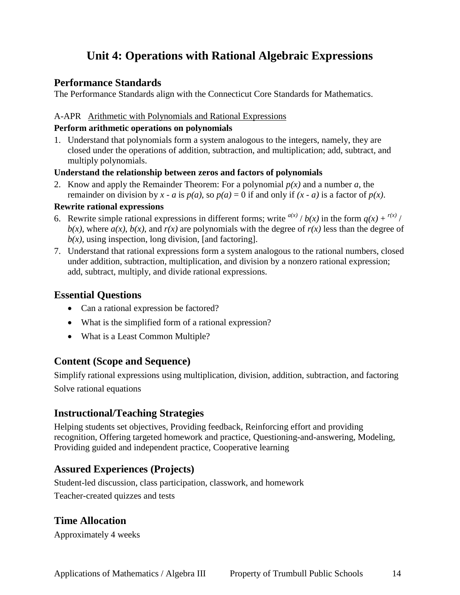# **Unit 4: Operations with Rational Algebraic Expressions**

#### **Performance Standards**

The Performance Standards align with the Connecticut Core Standards for Mathematics.

#### A-APR Arithmetic with Polynomials and Rational Expressions

#### **Perform arithmetic operations on polynomials**

1. Understand that polynomials form a system analogous to the integers, namely, they are closed under the operations of addition, subtraction, and multiplication; add, subtract, and multiply polynomials.

#### **Understand the relationship between zeros and factors of polynomials**

2. Know and apply the Remainder Theorem: For a polynomial  $p(x)$  and a number  $a$ , the remainder on division by  $x - a$  is  $p(a)$ , so  $p(a) = 0$  if and only if  $(x - a)$  is a factor of  $p(x)$ .

#### **Rewrite rational expressions**

- 6. Rewrite simple rational expressions in different forms; write  $\frac{a(x)}{b(x)}$  in the form  $q(x) + \frac{r(x)}{b(x)}$  $b(x)$ , where  $a(x)$ ,  $b(x)$ , and  $r(x)$  are polynomials with the degree of  $r(x)$  less than the degree of  $b(x)$ , using inspection, long division, [and factoring].
- 7. Understand that rational expressions form a system analogous to the rational numbers, closed under addition, subtraction, multiplication, and division by a nonzero rational expression; add, subtract, multiply, and divide rational expressions.

#### **Essential Questions**

- Can a rational expression be factored?
- What is the simplified form of a rational expression?
- What is a Least Common Multiple?

# **Content (Scope and Sequence)**

Simplify rational expressions using multiplication, division, addition, subtraction, and factoring Solve rational equations

### **Instructional/Teaching Strategies**

Helping students set objectives, Providing feedback, Reinforcing effort and providing recognition, Offering targeted homework and practice, Questioning-and-answering, Modeling, Providing guided and independent practice, Cooperative learning

### **Assured Experiences (Projects)**

Student-led discussion, class participation, classwork, and homework Teacher-created quizzes and tests

# **Time Allocation**

Approximately 4 weeks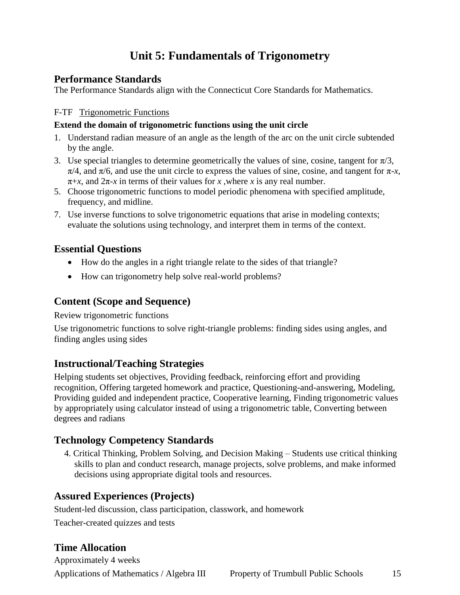# **Unit 5: Fundamentals of Trigonometry**

#### **Performance Standards**

The Performance Standards align with the Connecticut Core Standards for Mathematics.

#### F-TF Trigonometric Functions

#### **Extend the domain of trigonometric functions using the unit circle**

- 1. Understand radian measure of an angle as the length of the arc on the unit circle subtended by the angle.
- 3. Use special triangles to determine geometrically the values of sine, cosine, tangent for  $\pi/3$ ,  $\pi/4$ , and  $\pi/6$ , and use the unit circle to express the values of sine, cosine, and tangent for  $\pi$ -*x*,  $\pi+x$ , and  $2\pi-x$  in terms of their values for *x*, where *x* is any real number.
- 5. Choose trigonometric functions to model periodic phenomena with specified amplitude, frequency, and midline.
- 7. Use inverse functions to solve trigonometric equations that arise in modeling contexts; evaluate the solutions using technology, and interpret them in terms of the context.

#### **Essential Questions**

- How do the angles in a right triangle relate to the sides of that triangle?
- How can trigonometry help solve real-world problems?

### **Content (Scope and Sequence)**

Review trigonometric functions

Use trigonometric functions to solve right-triangle problems: finding sides using angles, and finding angles using sides

### **Instructional/Teaching Strategies**

Helping students set objectives, Providing feedback, reinforcing effort and providing recognition, Offering targeted homework and practice, Questioning-and-answering, Modeling, Providing guided and independent practice, Cooperative learning, Finding trigonometric values by appropriately using calculator instead of using a trigonometric table, Converting between degrees and radians

### **Technology Competency Standards**

4. Critical Thinking, Problem Solving, and Decision Making – Students use critical thinking skills to plan and conduct research, manage projects, solve problems, and make informed decisions using appropriate digital tools and resources.

### **Assured Experiences (Projects)**

Student-led discussion, class participation, classwork, and homework Teacher-created quizzes and tests

### **Time Allocation**

Approximately 4 weeks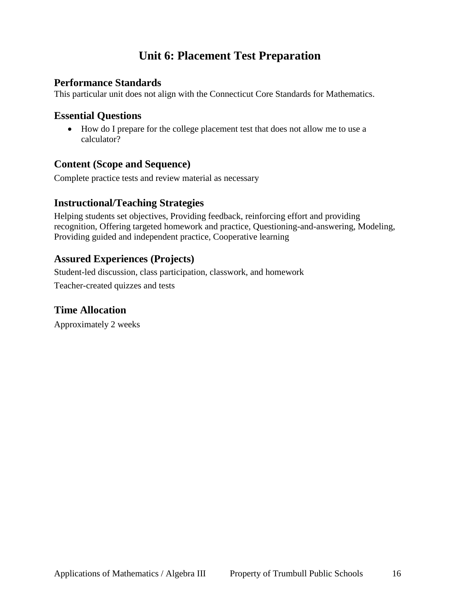# **Unit 6: Placement Test Preparation**

#### **Performance Standards**

This particular unit does not align with the Connecticut Core Standards for Mathematics.

#### **Essential Questions**

 How do I prepare for the college placement test that does not allow me to use a calculator?

## **Content (Scope and Sequence)**

Complete practice tests and review material as necessary

### **Instructional/Teaching Strategies**

Helping students set objectives, Providing feedback, reinforcing effort and providing recognition, Offering targeted homework and practice, Questioning-and-answering, Modeling, Providing guided and independent practice, Cooperative learning

## **Assured Experiences (Projects)**

Student-led discussion, class participation, classwork, and homework Teacher-created quizzes and tests

### **Time Allocation**

Approximately 2 weeks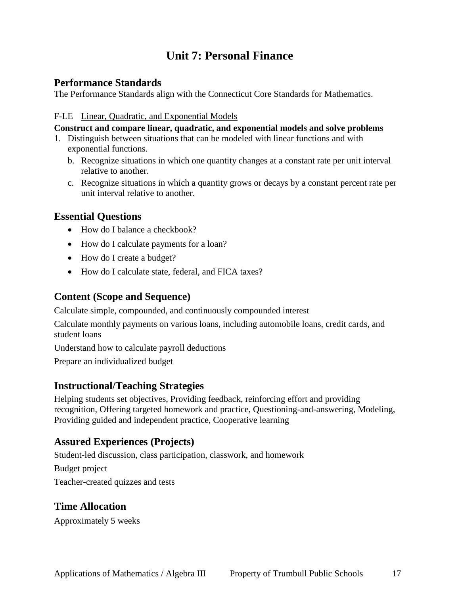# **Unit 7: Personal Finance**

#### **Performance Standards**

The Performance Standards align with the Connecticut Core Standards for Mathematics.

#### F-LE Linear, Quadratic, and Exponential Models

**Construct and compare linear, quadratic, and exponential models and solve problems**

- 1. Distinguish between situations that can be modeled with linear functions and with exponential functions.
	- b. Recognize situations in which one quantity changes at a constant rate per unit interval relative to another.
	- c. Recognize situations in which a quantity grows or decays by a constant percent rate per unit interval relative to another.

### **Essential Questions**

- How do I balance a checkbook?
- How do I calculate payments for a loan?
- How do I create a budget?
- How do I calculate state, federal, and FICA taxes?

## **Content (Scope and Sequence)**

Calculate simple, compounded, and continuously compounded interest

Calculate monthly payments on various loans, including automobile loans, credit cards, and student loans

Understand how to calculate payroll deductions

Prepare an individualized budget

### **Instructional/Teaching Strategies**

Helping students set objectives, Providing feedback, reinforcing effort and providing recognition, Offering targeted homework and practice, Questioning-and-answering, Modeling, Providing guided and independent practice, Cooperative learning

# **Assured Experiences (Projects)**

Student-led discussion, class participation, classwork, and homework

Budget project

Teacher-created quizzes and tests

### **Time Allocation**

Approximately 5 weeks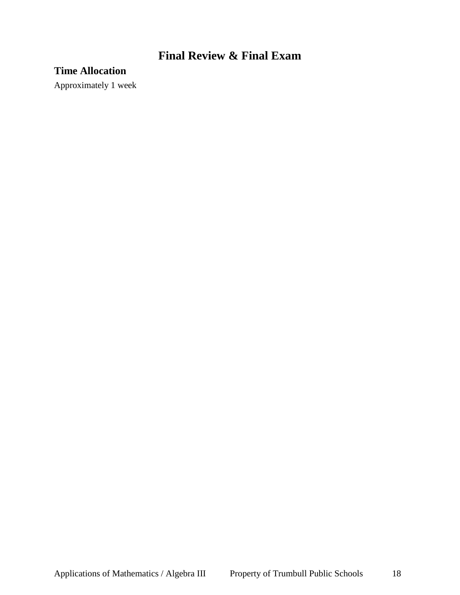# **Final Review & Final Exam**

# **Time Allocation**

Approximately 1 week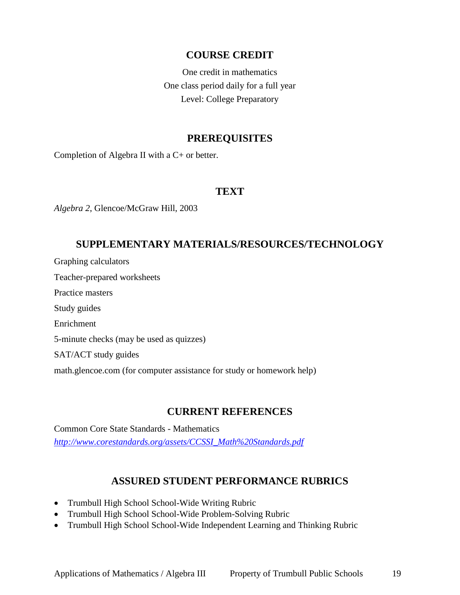## **COURSE CREDIT**

One credit in mathematics One class period daily for a full year Level: College Preparatory

### **PREREQUISITES**

Completion of Algebra II with a C+ or better.

#### **TEXT**

*Algebra 2*, Glencoe/McGraw Hill, 2003

## **SUPPLEMENTARY MATERIALS/RESOURCES/TECHNOLOGY**

Graphing calculators Teacher-prepared worksheets Practice masters Study guides Enrichment 5-minute checks (may be used as quizzes) SAT/ACT study guides math.glencoe.com (for computer assistance for study or homework help)

### **CURRENT REFERENCES**

Common Core State Standards - Mathematics *[http://www.corestandards.org/assets/CCSSI\\_Math%20Standards.pdf](http://www.corestandards.org/assets/CCSSI_Math%20Standards.pdf)*

### **ASSURED STUDENT PERFORMANCE RUBRICS**

- Trumbull High School School-Wide Writing Rubric
- Trumbull High School School-Wide Problem-Solving Rubric
- Trumbull High School School-Wide Independent Learning and Thinking Rubric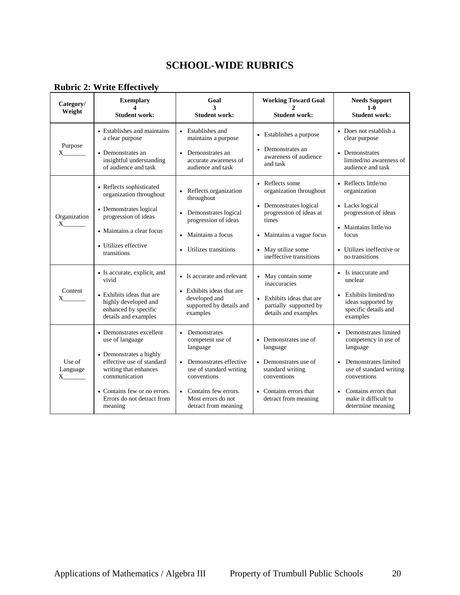# **SCHOOL-WIDE RUBRICS**

#### **Rubric 2: Write Effectively**

| Category/<br>Weight               | <b>Exemplary</b><br>4<br><b>Student work:</b>                                                                                                                                                                          | Goal<br>3<br><b>Student work:</b>                                                                                                                                                                   | <b>Working Toward Goal</b><br><b>Student work:</b>                                                                                                                                     | <b>Needs Support</b><br>$1-0$<br><b>Student work:</b>                                                                                                                                                                     |
|-----------------------------------|------------------------------------------------------------------------------------------------------------------------------------------------------------------------------------------------------------------------|-----------------------------------------------------------------------------------------------------------------------------------------------------------------------------------------------------|----------------------------------------------------------------------------------------------------------------------------------------------------------------------------------------|---------------------------------------------------------------------------------------------------------------------------------------------------------------------------------------------------------------------------|
| Purpose<br>$X \sim$               | • Establishes and maintains<br>a clear purpose<br>• Demonstrates an<br>insightful understanding<br>of audience and task                                                                                                | • Establishes and<br>maintains a purpose<br>Demonstrates an<br>accurate awareness of<br>audience and task                                                                                           | • Establishes a purpose<br>Demonstrates an<br>$\bullet$<br>awareness of audience<br>and task                                                                                           | • Does not establish a<br>clear purpose<br>• Demonstrates<br>limited/no awareness of<br>audience and task                                                                                                                 |
| Organization<br>$X \sim$          | • Reflects sophisticated<br>organization throughout<br>• Demonstrates logical<br>progression of ideas<br>• Maintains a clear focus<br>• Utilizes effective<br>transitions                                              | Reflects organization<br>throughout<br>Demonstrates logical<br>$\bullet$<br>progression of ideas<br>Maintains a focus<br>Utilizes transitions                                                       | • Reflects some<br>organization throughout<br>• Demonstrates logical<br>progression of ideas at<br>times<br>• Maintains a vague focus<br>• May utilize some<br>ineffective transitions | • Reflects little/no<br>organization<br>• Lacks logical<br>progression of ideas<br>• Maintains little/no<br>focus<br>• Utilizes ineffective or<br>no transitions                                                          |
| Content                           | • Is accurate, explicit, and<br>vivid<br>• Exhibits ideas that are<br>highly developed and<br>enhanced by specific<br>details and examples                                                                             | • Is accurate and relevant<br>• Exhibits ideas that are<br>developed and<br>supported by details and<br>examples                                                                                    | May contain some<br>inaccuracies<br>• Exhibits ideas that are<br>partially supported by<br>details and examples                                                                        | • Is inaccurate and<br>unclear<br>Exhibits limited/no<br>ideas supported by<br>specific details and<br>examples                                                                                                           |
| Use of<br>Language<br>$X$ and $X$ | • Demonstrates excellent<br>use of language<br>• Demonstrates a highly<br>effective use of standard<br>writing that enhances<br>communication<br>• Contains few or no errors.<br>Errors do not detract from<br>meaning | Demonstrates<br>competent use of<br>language<br>Demonstrates effective<br>use of standard writing<br>conventions<br>Contains few errors.<br>$\bullet$<br>Most errors do not<br>detract from meaning | • Demonstrates use of<br>language<br>• Demonstrates use of<br>standard writing<br>conventions<br>• Contains errors that<br>detract from meaning                                        | Demonstrates limited<br>competency in use of<br>language<br>Demonstrates limited<br>$\bullet$<br>use of standard writing<br>conventions<br>Contains errors that<br>$\bullet$<br>make it difficult to<br>determine meaning |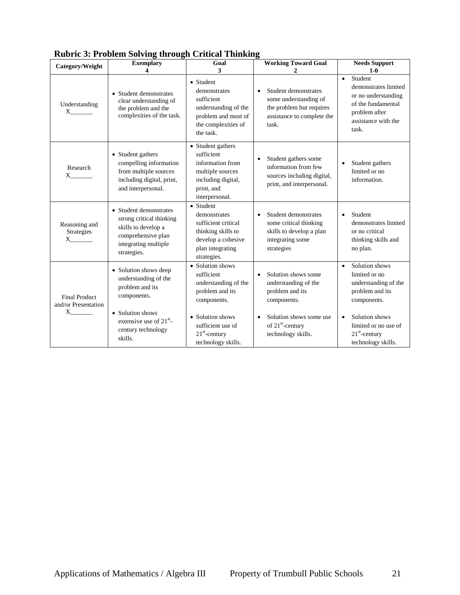| Category/Weight                                         | <u>Kubite 9. I robiem borring un ough Critical Thummig</u><br><b>Exemplary</b><br>4                                                    | Goal<br>3                                                                                                                       | <b>Working Toward Goal</b><br>2                                                                                           | <b>Needs Support</b><br>$1-0$                                                                                                              |
|---------------------------------------------------------|----------------------------------------------------------------------------------------------------------------------------------------|---------------------------------------------------------------------------------------------------------------------------------|---------------------------------------------------------------------------------------------------------------------------|--------------------------------------------------------------------------------------------------------------------------------------------|
| Understanding                                           | • Student demonstrates<br>clear understanding of<br>the problem and the<br>complexities of the task.                                   | • Student<br>demonstrates<br>sufficient<br>understanding of the<br>problem and most of<br>the complexities of<br>the task.      | Student demonstrates<br>some understanding of<br>the problem but requires<br>assistance to complete the<br>task.          | Student<br>$\bullet$<br>demonstrates limited<br>or no understanding<br>of the fundamental<br>problem after<br>assistance with the<br>task. |
| Research<br>$X$ and $X$                                 | • Student gathers<br>compelling information<br>from multiple sources<br>including digital, print,<br>and interpersonal.                | • Student gathers<br>sufficient<br>information from<br>multiple sources<br>including digital,<br>print, and<br>interpersonal.   | Student gathers some<br>$\bullet$<br>information from few<br>sources including digital,<br>print, and interpersonal.      | Student gathers<br>limited or no<br>information.                                                                                           |
| Reasoning and<br>Strategies                             | • Student demonstrates<br>strong critical thinking<br>skills to develop a<br>comprehensive plan<br>integrating multiple<br>strategies. | • Student<br>demonstrates<br>sufficient critical<br>thinking skills to<br>develop a cohesive<br>plan integrating<br>strategies. | Student demonstrates<br>$\bullet$<br>some critical thinking<br>skills to develop a plan<br>integrating some<br>strategies | Student<br>$\bullet$<br>demonstrates limited<br>or no critical<br>thinking skills and<br>no plan.                                          |
| <b>Final Product</b><br>and/or Presentation<br>$X \sim$ | • Solution shows deep<br>understanding of the<br>problem and its<br>components.                                                        | • Solution shows<br>sufficient<br>understanding of the<br>problem and its<br>components.                                        | Solution shows some<br>$\bullet$<br>understanding of the<br>problem and its<br>components.                                | Solution shows<br>$\bullet$<br>limited or no<br>understanding of the<br>problem and its<br>components.                                     |
|                                                         | • Solution shows<br>extensive use of $21st$ -<br>century technology<br>skills.                                                         | • Solution shows<br>sufficient use of<br>$21st$ -century<br>technology skills.                                                  | Solution shows some use<br>$\bullet$<br>of 21 <sup>st</sup> -century<br>technology skills.                                | Solution shows<br>$\bullet$<br>limited or no use of<br>$21st$ -century<br>technology skills.                                               |

#### **Rubric 3: Problem Solving through Critical Thinking**